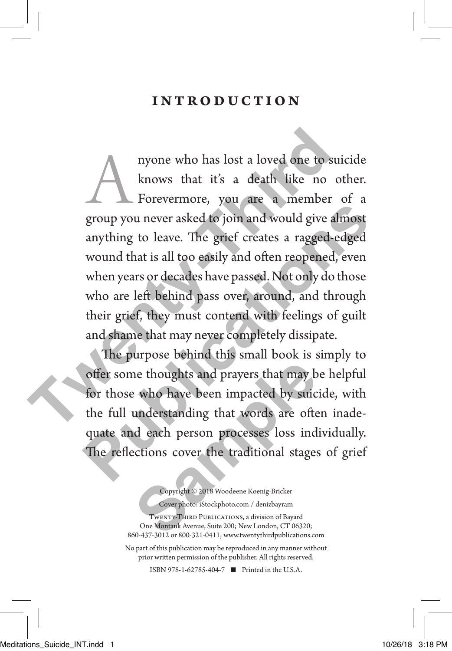#### introduction

Anyone who has lost a loved one to suicide<br>
knows that it's a death like no other.<br>
Forevermore, you are a member of a<br>
group you never asked to join and would give almost knows that it's a death like no other. Forevermore, you are a member of a anything to leave. The grief creates a ragged-edged wound that is all too easily and often reopened, even when years or decades have passed. Not only do those who are left behind pass over, around, and through their grief, they must contend with feelings of guilt and shame that may never completely dissipate. myone who has lost a loved one to suid knows that it's a death like no ot Forevermore, you are a member of group you never asked to join and would give alm anything to leave. The grief creates a ragged-ed wound that is all **Publications CONTERT CONTROLLER CONTROLLER CONTROLLER SUBDED AND NOTE AND SERVED TO PUT A SUPPROFILER A THE SUPPROFILER SUBDED WOUND that is all too easily and often reopened, even when years or decades have passed. Not o** 

The purpose behind this small book is simply to offer some thoughts and prayers that may be helpful for those who have been impacted by suicide, with the full understanding that words are often inadequate and each person processes loss individually. The reflections cover the traditional stages of grief **Sample 19 and Search Transformation**<br> **Sample 19 and Search Search Search Search Search Search Search Search Search Search Search Search<br>
<b>Samples** Consumer Search Search Search Search<br>
Consults Cover Photo: istockphoto.c

Copyright © 2018 Woodeene Koenig-Bricker Cover photo: iStockphoto.com / denizbayram Twenty-Third Publications, a division of Bayard One Montauk Avenue, Suite 200; New London, CT 06320; 860-437-3012 or 800-321-0411; www.twentythirdpublications.com

No part of this publication may be reproduced in any manner without prior written permission of the publisher. All rights reserved.

ISBN 978-1-62785-404-7 ◾ Printed in the U.S.A.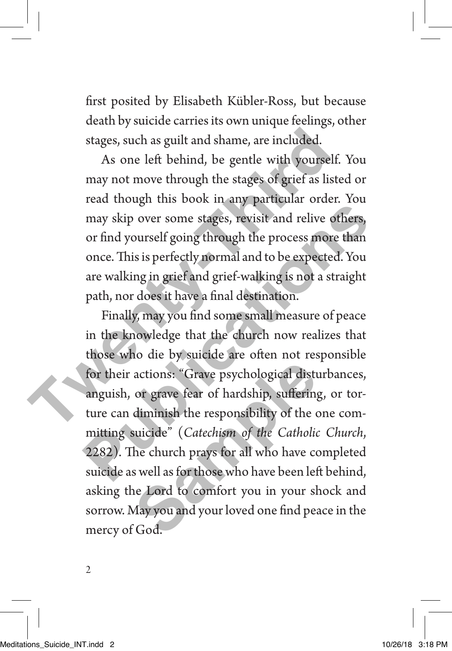first posited by Elisabeth Kübler-Ross, but because death by suicide carries its own unique feelings, other stages, such as guilt and shame, are included.

As one left behind, be gentle with yourself. You may not move through the stages of grief as listed or read though this book in any particular order. You may skip over some stages, revisit and relive others, or find yourself going through the process more than once. This is perfectly normal and to be expected. You are walking in grief and grief-walking is not a straight path, nor does it have a final destination. stages, such as guilt and shame, are included.<br>As one left behind, be gentle with yourself.<br>may not move through the stages of grief as liste<br>read though this book in any particular order.<br>may skip over some stages, revisi

Finally, may you find some small measure of peace in the knowledge that the church now realizes that those who die by suicide are often not responsible for their actions: "Grave psychological disturbances, anguish, or grave fear of hardship, suffering, or torture can diminish the responsibility of the one committing suicide" (*Catechism of the Catholic Church*, 2282). The church prays for all who have completed suicide as well as for those who have been left behind, asking the Lord to comfort you in your shock and sorrow. May you and your loved one find peace in the mercy of God. read mode<sub>n</sub> that book in any particular order. Focal<br>may skip over some stages, revisit and relive others,<br>or find yourself going through the process more than<br>once. This is perfectly normal and to be expected. You<br>are wa actions: "Grave psychological distured or grave fear of hardship, suffering<br>diminish the responsibility of the c<br>suicide" (*Catechism of the Catholic*<br>he church prays for all who have co<br>s well as for those who have been l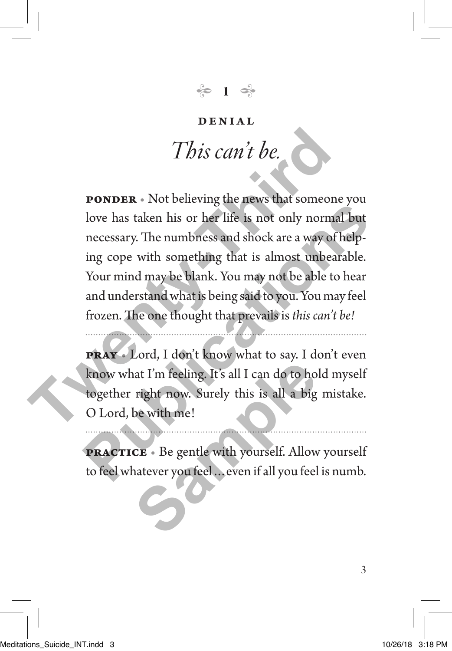### **1**

#### DENIAL

### *This can't be.*

**PONDER** • Not believing the news that someone you love has taken his or her life is not only normal but necessary. The numbness and shock are a way of helping cope with something that is almost unbearable. Your mind may be blank. You may not be able to hear and understand what is being said to you. You may feel frozen. The one thought that prevails is *this can't be!* **This can't be.**<br> **PONDER** • Not believing the news that someone<br>
love has taken his or her life is not only normal<br>
necessary. The numbness and shock are a way of h<br>
ing cope with something that is almost unbear<br>
Your min **Publication Publication Publication Publication Publication Publication Publication Publications Publications Publications Publications Publications Publications Publications Publications Pub** 

**pray** • Lord, I don't know what to say. I don't even know what I'm feeling. It's all I can do to hold myself together right now. Surely this is all a big mistake. O Lord, be with me! **Sample 19 Set to the Sample State 1 Set to the Sample State 1 Set of the State 1 Set of the State 1 Set of the State 1 Set of the State 1 Set of the State 1 Set of the State 1 Set of the State 1 Set of the State 1 Set of** 

**practice** • Be gentle with yourself. Allow yourself to feel whatever you feel…even if all you feel is numb.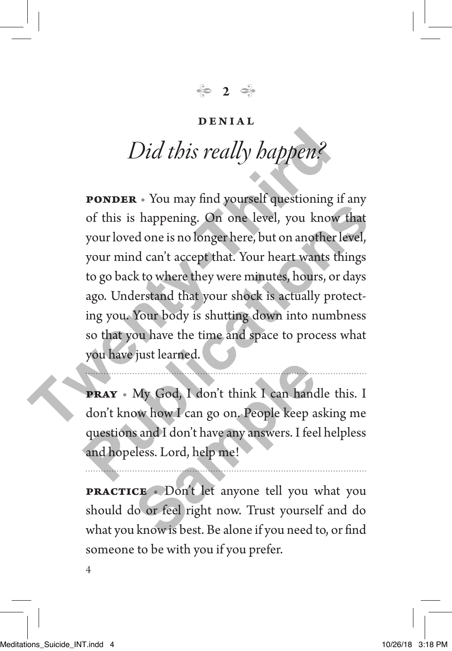$\approx$  2

#### DENIAL

## *Did this really happen?*

**PONDER** • You may find yourself questioning if any of this is happening. On one level, you know that your loved one is no longer here, but on another level, your mind can't accept that. Your heart wants things to go back to where they were minutes, hours, or days ago. Understand that your shock is actually protecting you. Your body is shutting down into numbness so that you have the time and space to process what you have just learned. Did this really happen?<br> **PONDER** • You may find yourself questioning if<br>
of this is happening. On one level, you know<br>
your loved one is no longer here, but on another le<br>
your mind can't accept that. Your heart wants the **Publication Publications Publications Publications Publications Publications Publications Publications Publications Publications Publications Publications Publications Publications Publications** 

**pray** • My God, I don't think I can handle this. I don't know how I can go on. People keep asking me questions and I don't have any answers. I feel helpless and hopeless. Lord, help me! My God, I don't think I can hand<br>ow how I can go on. People keep a<br>s and I don't have any answers. I fee<br>eless. Lord, help me!<br>**CE** . Don't let anyone tell you v<br>lo or feel right now. Trust yoursel<br>know is best. Be alone i

**practice** • Don't let anyone tell you what you should do or feel right now. Trust yourself and do what you know is best. Be alone if you need to, or find someone to be with you if you prefer.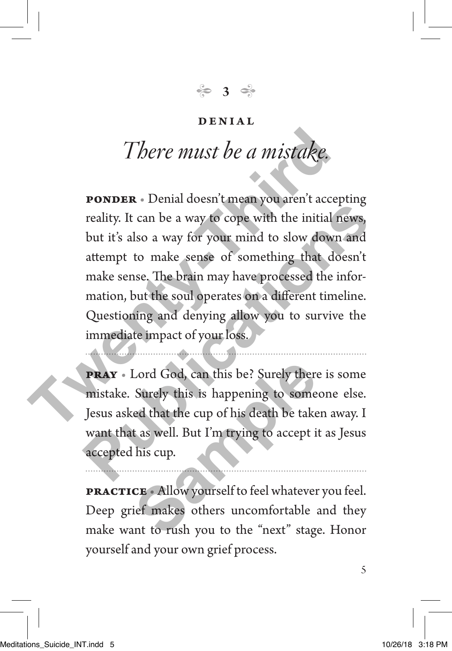**3**

#### DENIAL

### *There must be a mistake.*

**PONDER** • Denial doesn't mean you aren't accepting reality. It can be a way to cope with the initial news, but it's also a way for your mind to slow down and attempt to make sense of something that doesn't make sense. The brain may have processed the information, but the soul operates on a different timeline. Questioning and denying allow you to survive the immediate impact of your loss. There must be a mistake.<br> **PONDER** • Denial doesn't mean you aren't accep<br>
reality. It can be a way to cope with the initial no<br>
but it's also a way for your mind to slow down<br>
attempt to make sense of something that does<br> **Publication Publication Publication Publication Publication Publication Publication Publication Publication Publication Publication Publication Publication Publication Publication Publication** 

**pray** • Lord God, can this be? Surely there is some mistake. Surely this is happening to someone else. Jesus asked that the cup of his death be taken away. I want that as well. But I'm trying to accept it as Jesus accepted his cup. Lord God, can this be? Surely there<br>
Surely this is happening to some<br>
ed that the cup of his death be take<br>
t as well. But I'm trying to accept is<br>
his cup.<br> **CE** Allow yourself to feel whatever<br>
ief makes others uncomfor

**practice** • Allow yourself to feel whatever you feel. Deep grief makes others uncomfortable and they make want to rush you to the "next" stage. Honor yourself and your own grief process.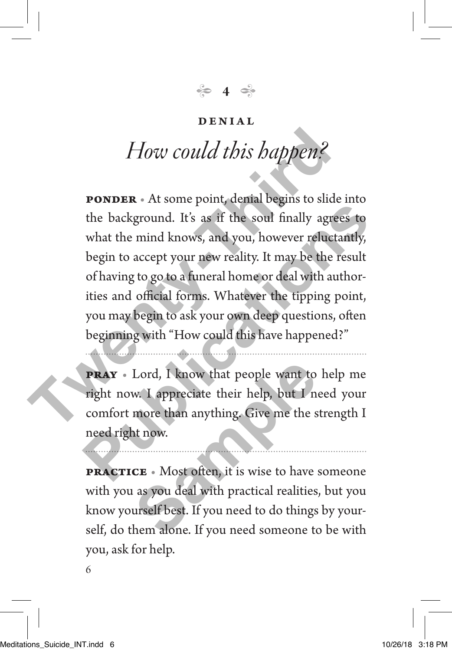**4**

#### DENIAL

### *How could this happen?*

**PONDER** • At some point, denial begins to slide into the background. It's as if the soul finally agrees to what the mind knows, and you, however reluctantly, begin to accept your new reality. It may be the result of having to go to a funeral home or deal with authorities and official forms. Whatever the tipping point, you may begin to ask your own deep questions, often beginning with "How could this have happened?" **The Example 19 Set the Set of the Set of the Set of the Set of Apple 19 Set of the background. It's as if the soul finally agree what the mind knows, and you, however reluctar begin to accept your new reality. It may be t Publication** It's as if the sould finally agrees to what the mind knows, and you, however reluctantly, begin to accept your new reality. It may be the result of having to go to a funeral home or deal with authorities and

**pray** • Lord, I know that people want to help me right now. I appreciate their help, but I need your comfort more than anything. Give me the strength I need right now. Lord, I know that people want to<br>w. I appreciate their help, but I n<br>more than anything. Give me the s<br>at now.<br>**CE** • Most often, it is wise to have<br>as you deal with practical realities<br>urself best. If you need to do thing

**practice** • Most often, it is wise to have someone with you as you deal with practical realities, but you know yourself best. If you need to do things by yourself, do them alone. If you need someone to be with you, ask for help.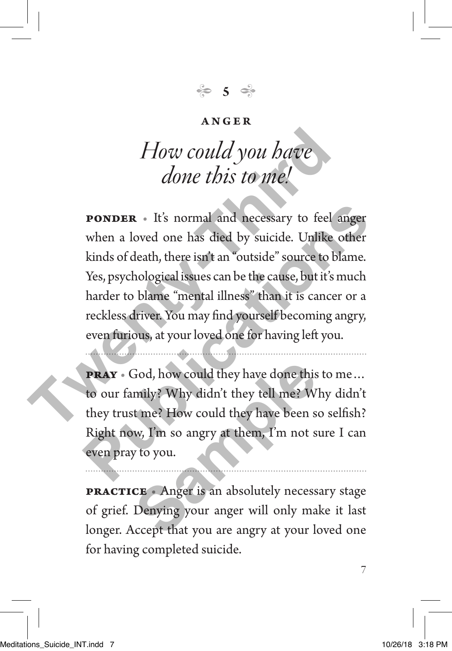**5**

### *How could you have done this to me!*

**PONDER** • It's normal and necessary to feel anger when a loved one has died by suicide. Unlike other kinds of death, there isn't an "outside" source to blame. Yes, psychological issues can be the cause, but it's much harder to blame "mental illness" than it is cancer or a reckless driver. You may find yourself becoming angry, even furious, at your loved one for having left you. **The World you have**<br> **The World you have**<br> **The World you have**<br> **The World State Association**<br> **The Associate Associate**<br> **The Associate**<br> **The Associate**<br> **The Associate**<br> **The Associate**<br> **The Associate**<br> **The Associat PONDER** • It's normal and necessary to feel anger<br>when a loved one has died by suicide. Unlike other<br>kinds of death, there isn't an "outside" source to blame.<br>Yes, psychological issues can be the cause, but it's much<br>hard

**pray** • God, how could they have done this to me… to our family? Why didn't they tell me? Why didn't they trust me? How could they have been so selfish? Right now, I'm so angry at them, I'm not sure I can even pray to you. God, how could they have done this<br>
mily? Why didn't they tell me? W<br>
it me? How could they have been s<br>
w, I'm so angry at them, I'm not s<br>
y to you.<br> **CE** Anger is an absolutely necess<br>
Denying your anger will only ma<br>
a

**PRACTICE** • Anger is an absolutely necessary stage of grief. Denying your anger will only make it last longer. Accept that you are angry at your loved one for having completed suicide.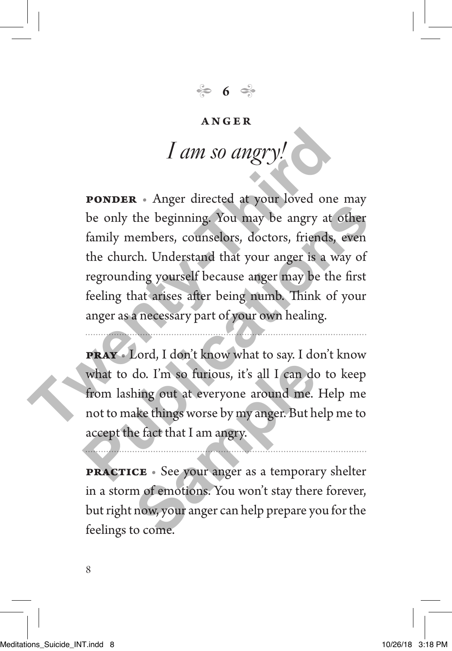← 6 →

# *I am so angry!*

**PONDER** • Anger directed at your loved one may be only the beginning. You may be angry at other family members, counselors, doctors, friends, even the church. Understand that your anger is a way of regrounding yourself because anger may be the first feeling that arises after being numb. Think of your anger as a necessary part of your own healing. **T** *am so angry!*<br> **PONDER** • Anger directed at your loved one is<br>
be only the beginning. You may be angry at of<br>
family members, counselors, doctors, friends, e<br>
the church. Understand that your anger is a way<br>
regroun **Publication Publication Publication Publication Publication Publications Publications Publications Publications Publications Publications Publications Publications Publications Publications P** 

**pray** • Lord, I don't know what to say. I don't know what to do. I'm so furious, it's all I can do to keep from lashing out at everyone around me. Help me not to make things worse by my anger. But help me to accept the fact that I am angry. do. I'm so furious, it's all I can do<br>hing out at everyone around me.<br>ake things worse by my anger. But h<br>e fact that I am angry.<br>**CE** • See your anger as a temporar<br>m of emotions. You won't stay ther<br>now, your anger can h

**practice** • See your anger as a temporary shelter in a storm of emotions. You won't stay there forever, but right now, your anger can help prepare you for the feelings to come.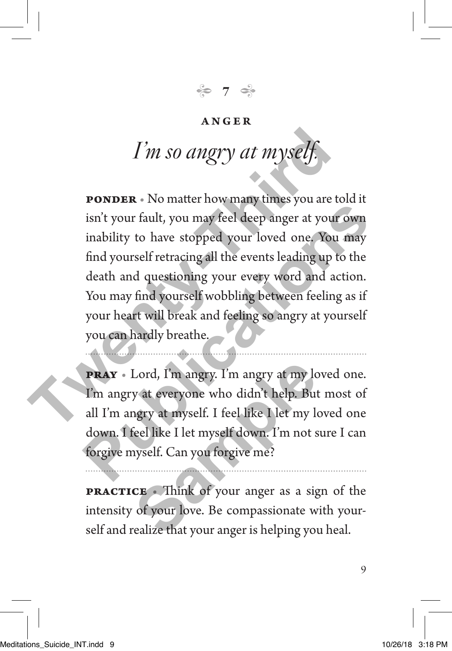**7**

### *I'm so angry at mysel*

**ponder** • No matter how many times you are told it isn't your fault, you may feel deep anger at your own inability to have stopped your loved one. You may find yourself retracing all the events leading up to the death and questioning your every word and action. You may find yourself wobbling between feeling as if your heart will break and feeling so angry at yourself you can hardly breathe. I'm so angry at myself.<br> **PONDER** • No matter how many times you are to<br>
isn't your fault, you may feel deep anger at your quantity to have stopped your loved one. You if<br>
find yourself retracing all the events leading up **Publication Publication Publication Publication Publication Publication Publication Publication Publication Publication Publication Publication Publication Publication Publication Publication** 

**pray** • Lord, I'm angry. I'm angry at my loved one. I'm angry at everyone who didn't help. But most of all I'm angry at myself. I feel like I let my loved one down. I feel like I let myself down. I'm not sure I can forgive myself. Can you forgive me? Lord, I'm angry. I'm angry at my low the set of the set of the set of the set of the set of the set of the set of the set of the set of the set of your anger as a sign of your love. Be compassionate wealize that your anger

**PRACTICE** • Think of your anger as a sign of the intensity of your love. Be compassionate with yourself and realize that your anger is helping you heal.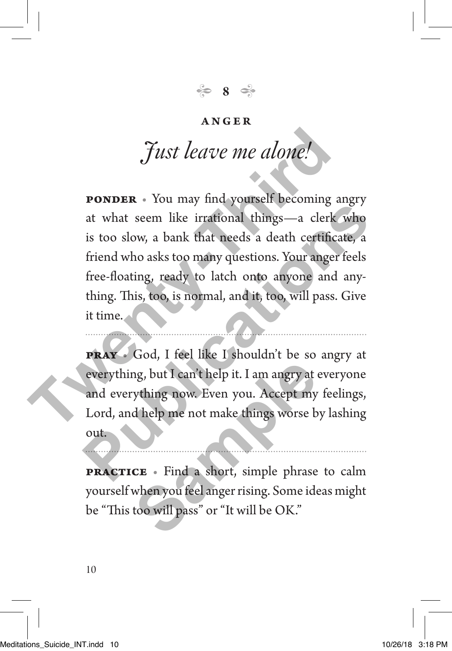**8**

### *Just leave me alone!*

**PONDER** • You may find yourself becoming angry at what seem like irrational things—a clerk who is too slow, a bank that needs a death certificate, a friend who asks too many questions. Your anger feels free-floating, ready to latch onto anyone and anything. This, too, is normal, and it, too, will pass. Give it time. **Tust leave me alone!**<br> **PONDER** • You may find yourself becoming and that seem like irrational things—a clerk is too slow, a bank that needs a death certificat friend who asks too many questions. Your anger free-floating, **Publications International things—a clerk who**<br>is too slow, a bank that needs a death certificate, a<br>friend who asks too many questions. Your anger feels<br>free-floating, ready to latch onto anyone and any-<br>thing. This, too

**pray** • God, I feel like I shouldn't be so angry at everything, but I can't help it. I am angry at everyone and everything now. Even you. Accept my feelings, Lord, and help me not make things worse by lashing out. **Sample 19 and 19 and 19 and 19 and 19 and 19 and 19 and 19 and 19 and 19 and 19 and 19 and 19 and 19 and 19 and 19 and 19 and 19 and 19 and 19 and 19 and 19 and 19 and 19 and 19 and 19 and 19 and 19 and 19 and 19 and 19 a** 

**practice** • Find a short, simple phrase to calm yourself when you feel anger rising. Some ideas might be "This too will pass" or "It will be OK."